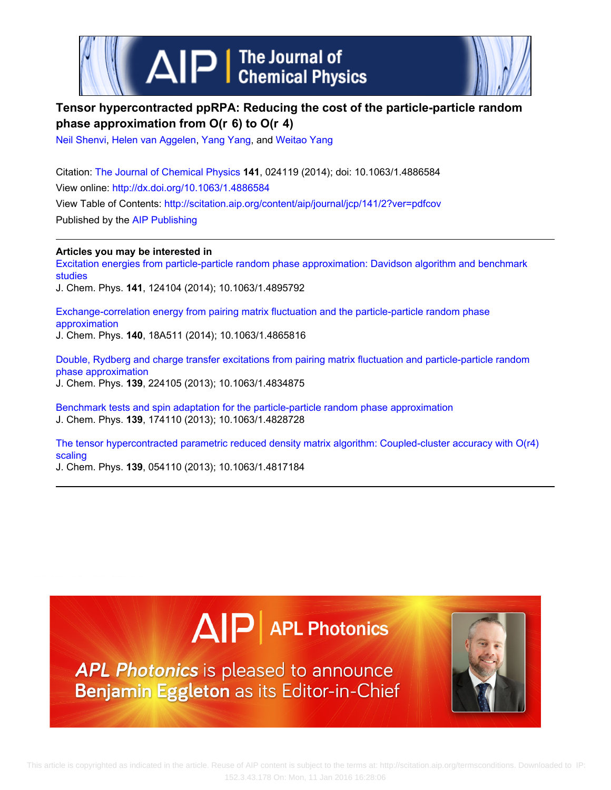

## **Tensor hypercontracted ppRPA: Reducing the cost of the particle-particle random phase approximation from O(r  6) to O(r  4)**

[Neil Shenvi,](http://scitation.aip.org/search?value1=Neil+Shenvi&option1=author) [Helen van Aggelen,](http://scitation.aip.org/search?value1=Helen+van+Aggelen&option1=author) [Yang Yang,](http://scitation.aip.org/search?value1=Yang+Yang&option1=author) and [Weitao Yang](http://scitation.aip.org/search?value1=Weitao+Yang&option1=author)

Citation: [The Journal of Chemical Physics](http://scitation.aip.org/content/aip/journal/jcp?ver=pdfcov) **141**, 024119 (2014); doi: 10.1063/1.4886584 View online: <http://dx.doi.org/10.1063/1.4886584> View Table of Contents: <http://scitation.aip.org/content/aip/journal/jcp/141/2?ver=pdfcov> Published by the [AIP Publishing](http://scitation.aip.org/content/aip?ver=pdfcov)

**Articles you may be interested in**

[Excitation energies from particle-particle random phase approximation: Davidson algorithm and benchmark](http://scitation.aip.org/content/aip/journal/jcp/141/12/10.1063/1.4895792?ver=pdfcov) [studies](http://scitation.aip.org/content/aip/journal/jcp/141/12/10.1063/1.4895792?ver=pdfcov)

J. Chem. Phys. **141**, 124104 (2014); 10.1063/1.4895792

[Exchange-correlation energy from pairing matrix fluctuation and the particle-particle random phase](http://scitation.aip.org/content/aip/journal/jcp/140/18/10.1063/1.4865816?ver=pdfcov) [approximation](http://scitation.aip.org/content/aip/journal/jcp/140/18/10.1063/1.4865816?ver=pdfcov) J. Chem. Phys. **140**, 18A511 (2014); 10.1063/1.4865816

[Double, Rydberg and charge transfer excitations from pairing matrix fluctuation and particle-particle random](http://scitation.aip.org/content/aip/journal/jcp/139/22/10.1063/1.4834875?ver=pdfcov) [phase approximation](http://scitation.aip.org/content/aip/journal/jcp/139/22/10.1063/1.4834875?ver=pdfcov) J. Chem. Phys. **139**, 224105 (2013); 10.1063/1.4834875

[Benchmark tests and spin adaptation for the particle-particle random phase approximation](http://scitation.aip.org/content/aip/journal/jcp/139/17/10.1063/1.4828728?ver=pdfcov) J. Chem. Phys. **139**, 174110 (2013); 10.1063/1.4828728

[The tensor hypercontracted parametric reduced density matrix algorithm: Coupled-cluster accuracy with O\(r4\)](http://scitation.aip.org/content/aip/journal/jcp/139/5/10.1063/1.4817184?ver=pdfcov) [scaling](http://scitation.aip.org/content/aip/journal/jcp/139/5/10.1063/1.4817184?ver=pdfcov)

J. Chem. Phys. **139**, 054110 (2013); 10.1063/1.4817184

# $\Delta$   $\vert$  P  $\vert$  APL Photonics

**APL Photonics** is pleased to announce Benjamin Eggleton as its Editor-in-Chief

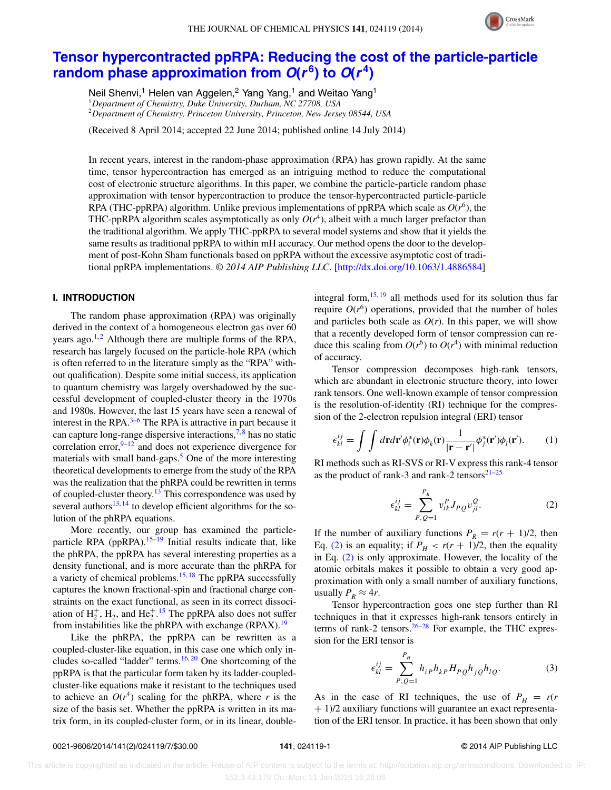

### **[Tensor hypercontracted ppRPA: Reducing the cost of the particle-particle](http://dx.doi.org/10.1063/1.4886584) [random phase approximation from](http://dx.doi.org/10.1063/1.4886584)**  $O(r^6)$  **to**  $O(r^4)$

Neil Shenvi,<sup>1</sup> Helen van Aggelen,<sup>2</sup> Yang Yang,<sup>1</sup> and Weitao Yang<sup>1</sup> <sup>1</sup>*Department of Chemistry, Duke University, Durham, NC 27708, USA* <sup>2</sup>*Department of Chemistry, Princeton University, Princeton, New Jersey 08544, USA*

(Received 8 April 2014; accepted 22 June 2014; published online 14 July 2014)

In recent years, interest in the random-phase approximation (RPA) has grown rapidly. At the same time, tensor hypercontraction has emerged as an intriguing method to reduce the computational cost of electronic structure algorithms. In this paper, we combine the particle-particle random phase approximation with tensor hypercontraction to produce the tensor-hypercontracted particle-particle RPA (THC-ppRPA) algorithm. Unlike previous implementations of ppRPA which scale as  $O(r^6)$ , the THC-ppRPA algorithm scales asymptotically as only  $O(r^4)$ , albeit with a much larger prefactor than the traditional algorithm. We apply THC-ppRPA to several model systems and show that it yields the same results as traditional ppRPA to within mH accuracy. Our method opens the door to the development of post-Kohn Sham functionals based on ppRPA without the excessive asymptotic cost of traditional ppRPA implementations. *© 2014 AIP Publishing LLC*. [\[http://dx.doi.org/10.1063/1.4886584\]](http://dx.doi.org/10.1063/1.4886584)

#### **I. INTRODUCTION**

The random phase approximation (RPA) was originally derived in the context of a homogeneous electron gas over 60 years ago.<sup>1,[2](#page-7-1)</sup> Although there are multiple forms of the RPA, research has largely focused on the particle-hole RPA (which is often referred to in the literature simply as the "RPA" without qualification). Despite some initial success, its application to quantum chemistry was largely overshadowed by the successful development of coupled-cluster theory in the 1970s and 1980s. However, the last 15 years have seen a renewal of interest in the RPA. $3-6$  $3-6$  The RPA is attractive in part because it can capture long-range dispersive interactions,  $\frac{7}{3}$  has no static correlation error, $9-12$  $9-12$  and does not experience divergence for materials with small band-gaps.<sup>[5](#page-7-8)</sup> One of the more interesting theoretical developments to emerge from the study of the RPA was the realization that the phRPA could be rewritten in terms of coupled-cluster theory.<sup>[13](#page-7-9)</sup> This correspondence was used by several authors $13, 14$  $13, 14$  to develop efficient algorithms for the solution of the phRPA equations.

More recently, our group has examined the particle-particle RPA (ppRPA).<sup>[15](#page-7-11)[–19](#page-7-12)</sup> Initial results indicate that, like the phRPA, the ppRPA has several interesting properties as a density functional, and is more accurate than the phRPA for a variety of chemical problems.<sup>15, [18](#page-7-13)</sup> The ppRPA successfully captures the known fractional-spin and fractional charge constraints on the exact functional, as seen in its correct dissociation of  $H_2^+$ ,  $H_2$ , and  $He_2^+$ .<sup>[15](#page-7-11)</sup> The ppRPA also does not suffer from instabilities like the phRPA with exchange (RPAX).<sup>[19](#page-7-12)</sup>

Like the phRPA, the ppRPA can be rewritten as a coupled-cluster-like equation, in this case one which only includes so-called "ladder" terms. $16, 20$  $16, 20$  One shortcoming of the ppRPA is that the particular form taken by its ladder-coupledcluster-like equations make it resistant to the techniques used to achieve an  $O(r^4)$  scaling for the phRPA, where *r* is the size of the basis set. Whether the ppRPA is written in its matrix form, in its coupled-cluster form, or in its linear, doubleintegral form,  $15, 19$  $15, 19$  all methods used for its solution thus far require  $O(r^6)$  operations, provided that the number of holes and particles both scale as  $O(r)$ . In this paper, we will show that a recently developed form of tensor compression can reduce this scaling from  $O(r^6)$  to  $O(r^4)$  with minimal reduction of accuracy.

Tensor compression decomposes high-rank tensors, which are abundant in electronic structure theory, into lower rank tensors. One well-known example of tensor compression is the resolution-of-identity (RI) technique for the compression of the 2-electron repulsion integral (ERI) tensor

$$
\epsilon_{kl}^{ij} = \int \int d\mathbf{r} d\mathbf{r}' \phi_i^*(\mathbf{r}) \phi_k(\mathbf{r}) \frac{1}{|\mathbf{r} - \mathbf{r}'|} \phi_j^*(\mathbf{r}') \phi_l(\mathbf{r}'). \tag{1}
$$

RI methods such as RI-SVS or RI-V express this rank-4 tensor as the product of rank-3 and rank-2 tensors $2^{1-25}$  $2^{1-25}$  $2^{1-25}$ 

<span id="page-1-0"></span>
$$
\epsilon_{kl}^{ij} = \sum_{P,Q=1}^{P_R} v_{ik}^P J_{PQ} v_{jl}^Q.
$$
 (2)

If the number of auxiliary functions  $P_R = r(r + 1)/2$ , then Eq. [\(2\)](#page-1-0) is an equality; if  $P_H < r(r + 1)/2$ , then the equality in Eq. [\(2\)](#page-1-0) is only approximate. However, the locality of the atomic orbitals makes it possible to obtain a very good approximation with only a small number of auxiliary functions, usually  $P_R \approx 4r$ .

Tensor hypercontraction goes one step further than RI techniques in that it expresses high-rank tensors entirely in terms of rank-2 tensors. $26-28$  $26-28$  For example, the THC expression for the ERI tensor is

<span id="page-1-1"></span>
$$
\epsilon_{kl}^{ij} = \sum_{P,Q=1}^{P_H} h_{ip} h_{kp} H_{PQ} h_{jQ} h_{lQ}.
$$
 (3)

As in the case of RI techniques, the use of  $P_H = r(r)$ + 1)/2 auxiliary functions will guarantee an exact representation of the ERI tensor. In practice, it has been shown that only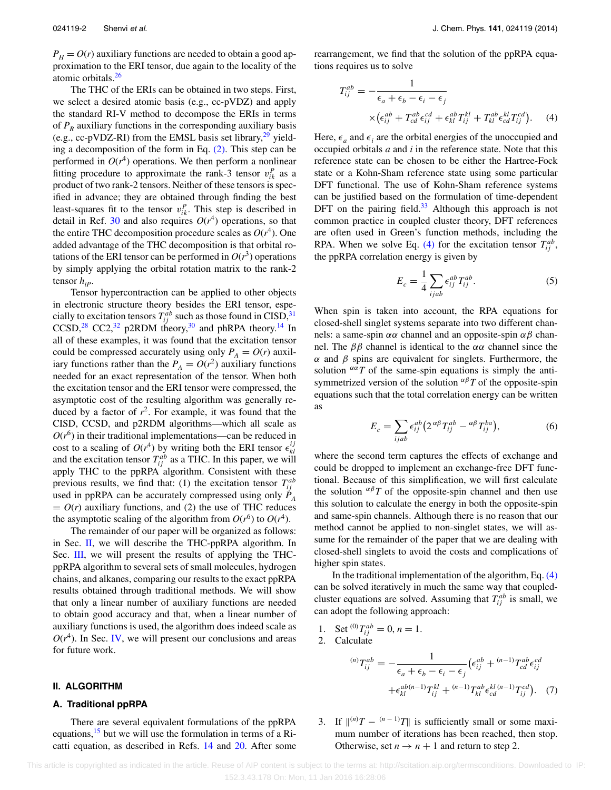$P_H = O(r)$  auxiliary functions are needed to obtain a good approximation to the ERI tensor, due again to the locality of the atomic orbitals.<sup>26</sup>

The THC of the ERIs can be obtained in two steps. First, we select a desired atomic basis (e.g., cc-pVDZ) and apply the standard RI-V method to decompose the ERIs in terms of  $P_R$  auxiliary functions in the corresponding auxiliary basis (e.g., cc-pVDZ-RI) from the EMSL basis set library, $^{29}$  $^{29}$  $^{29}$  yielding a decomposition of the form in Eq. [\(2\).](#page-1-0) This step can be performed in  $O(r^4)$  operations. We then perform a nonlinear fitting procedure to approximate the rank-3 tensor  $v_{ik}^P$  as a product of two rank-2 tensors. Neither of these tensors is specified in advance; they are obtained through finding the best least-squares fit to the tensor  $v_{ik}^P$ . This step is described in detail in Ref. [30](#page-7-21) and also requires  $O(r^4)$  operations, so that the entire THC decomposition procedure scales as  $O(r<sup>4</sup>)$ . One added advantage of the THC decomposition is that orbital rotations of the ERI tensor can be performed in  $O(r^3)$  operations by simply applying the orbital rotation matrix to the rank-2 tensor  $h_{ip}$ .

Tensor hypercontraction can be applied to other objects in electronic structure theory besides the ERI tensor, especially to excitation tensors  $T_{ij}^{ab}$  such as those found in CISD,  $31$ CCSD,<sup>[28](#page-7-19)</sup> CC2,<sup>[32](#page-7-23)</sup> p2RDM theory,<sup>30</sup> and phRPA theory.<sup>[14](#page-7-10)</sup> In all of these examples, it was found that the excitation tensor could be compressed accurately using only  $P_A = O(r)$  auxiliary functions rather than the  $P_A = O(r^2)$  auxiliary functions needed for an exact representation of the tensor. When both the excitation tensor and the ERI tensor were compressed, the asymptotic cost of the resulting algorithm was generally reduced by a factor of  $r^2$ . For example, it was found that the CISD, CCSD, and p2RDM algorithms—which all scale as  $O(r^6)$  in their traditional implementations—can be reduced in cost to a scaling of  $O(r^4)$  by writing both the ERI tensor  $\epsilon_{kl}^{ij}$ and the excitation tensor  $T_{ij}^{ab}$  as a THC. In this paper, we will apply THC to the ppRPA algorithm. Consistent with these previous results, we find that: (1) the excitation tensor  $T_{ij}^{ab}$ used in ppRPA can be accurately compressed using only  $\dot{P}_A$  $= O(r)$  auxiliary functions, and (2) the use of THC reduces the asymptotic scaling of the algorithm from  $O(r^6)$  to  $O(r^4)$ .

The remainder of our paper will be organized as follows: in Sec. [II,](#page-2-0) we will describe the THC-ppRPA algorithm. In Sec. [III,](#page-4-0) we will present the results of applying the THCppRPA algorithm to several sets of small molecules, hydrogen chains, and alkanes, comparing our results to the exact ppRPA results obtained through traditional methods. We will show that only a linear number of auxiliary functions are needed to obtain good accuracy and that, when a linear number of auxiliary functions is used, the algorithm does indeed scale as  $O(r<sup>4</sup>)$ . In Sec. [IV,](#page-5-0) we will present our conclusions and areas for future work.

#### <span id="page-2-0"></span>**II. ALGORITHM**

#### **A. Traditional ppRPA**

There are several equivalent formulations of the ppRPA equations,  $15$  but we will use the formulation in terms of a Ricatti equation, as described in Refs. [14](#page-7-10) and [20.](#page-7-15) After some rearrangement, we find that the solution of the ppRPA equations requires us to solve

<span id="page-2-1"></span>
$$
T_{ij}^{ab} = -\frac{1}{\epsilon_a + \epsilon_b - \epsilon_i - \epsilon_j}
$$
  
 
$$
\times (\epsilon_{ij}^{ab} + T_{cd}^{ab} \epsilon_{ij}^{cd} + \epsilon_{kl}^{ab} T_{ij}^{kl} + T_{kl}^{ab} \epsilon_{cd}^{kl} T_{ij}^{cd}).
$$
 (4)

Here,  $\epsilon_a$  and  $\epsilon_i$  are the orbital energies of the unoccupied and occupied orbitals *a* and *i* in the reference state. Note that this reference state can be chosen to be either the Hartree-Fock state or a Kohn-Sham reference state using some particular DFT functional. The use of Kohn-Sham reference systems can be justified based on the formulation of time-dependent DFT on the pairing field. $33$  Although this approach is not common practice in coupled cluster theory, DFT references are often used in Green's function methods, including the RPA. When we solve Eq. [\(4\)](#page-2-1) for the excitation tensor  $T_{ij}^{ab}$ , the ppRPA correlation energy is given by

$$
E_c = \frac{1}{4} \sum_{ijab} \epsilon_{ij}^{ab} T_{ij}^{ab}.
$$
 (5)

When spin is taken into account, the RPA equations for closed-shell singlet systems separate into two different channels: a same-spin *αα* channel and an opposite-spin *αβ* channel. The *ββ* channel is identical to the *αα* channel since the *α* and *β* spins are equivalent for singlets. Furthermore, the solution  $\alpha \alpha T$  of the same-spin equations is simply the antisymmetrized version of the solution *αβ T* of the opposite-spin equations such that the total correlation energy can be written as

<span id="page-2-2"></span>
$$
E_c = \sum_{ijab} \epsilon_{ij}^{ab} \left( 2^{\alpha \beta} T_{ij}^{ab} - {\alpha \beta} T_{ij}^{ba} \right),\tag{6}
$$

where the second term captures the effects of exchange and could be dropped to implement an exchange-free DFT functional. Because of this simplification, we will first calculate the solution  $\alpha \beta T$  of the opposite-spin channel and then use this solution to calculate the energy in both the opposite-spin and same-spin channels. Although there is no reason that our method cannot be applied to non-singlet states, we will assume for the remainder of the paper that we are dealing with closed-shell singlets to avoid the costs and complications of higher spin states.

In the traditional implementation of the algorithm, Eq. [\(4\)](#page-2-1) can be solved iteratively in much the same way that coupledcluster equations are solved. Assuming that  $T_{ij}^{ab}$  is small, we can adopt the following approach:

- <span id="page-2-3"></span>1. Set <sup>(0)</sup> $T_{ij}^{ab} = 0, n = 1.$ 2. Calculate  $(T_{ij}^{ab} = -\frac{1}{\epsilon_a + \epsilon_b - \epsilon_i - \epsilon_j}$  $\left(\epsilon_{ij}^{ab} + \frac{(n-1)}{T_{cd}^{ab}}\epsilon_{ij}^{cd}\right)$  $+\epsilon_{kl}^{ab(n-1)}T_{ij}^{kl} + {^{(n-1)}}T_{kl}^{ab}\epsilon_{cd}^{kl(n-1)}T_{ij}^{cd}$ , (7)
- 3. If  $\|^{(n)}T \frac{(n-1)}{T}\|$  is sufficiently small or some maximum number of iterations has been reached, then stop. Otherwise, set  $n \to n + 1$  and return to step 2.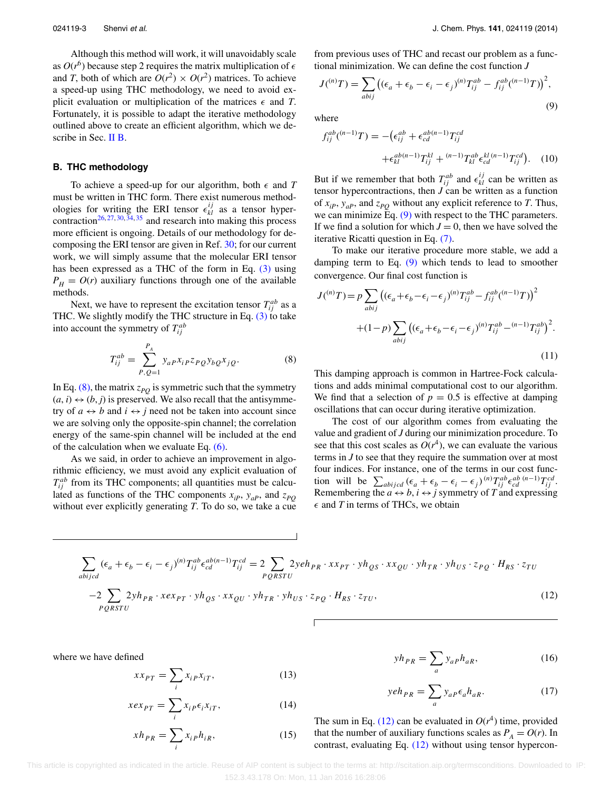Although this method will work, it will unavoidably scale as  $O(r^6)$  because step 2 requires the matrix multiplication of  $\epsilon$ and *T*, both of which are  $O(r^2) \times O(r^2)$  matrices. To achieve a speed-up using THC methodology, we need to avoid explicit evaluation or multiplication of the matrices  $\epsilon$  and *T*. Fortunately, it is possible to adapt the iterative methodology outlined above to create an efficient algorithm, which we de-scribe in Sec. [II B.](#page-3-0)

#### <span id="page-3-0"></span>**B. THC methodology**

To achieve a speed-up for our algorithm, both  $\epsilon$  and  $T$ must be written in THC form. There exist numerous methodologies for writing the ERI tensor  $\epsilon_{kl}^{ij}$  as a tensor hyper-contraction<sup>26, [27,](#page-7-25) [30,](#page-7-21) [34,](#page-7-26) [35](#page-7-27)</sup> and research into making this process more efficient is ongoing. Details of our methodology for decomposing the ERI tensor are given in Ref. [30;](#page-7-21) for our current work, we will simply assume that the molecular ERI tensor has been expressed as a THC of the form in Eq. [\(3\)](#page-1-1) using  $P_H = O(r)$  auxiliary functions through one of the available methods.

Next, we have to represent the excitation tensor  $T_{ij}^{ab}$  as a THC. We slightly modify the THC structure in Eq. [\(3\)](#page-1-1) to take into account the symmetry of  $T_{ij}^{ab}$ 

<span id="page-3-1"></span>
$$
T_{ij}^{ab} = \sum_{P,Q=1}^{P_A} y_{aP} x_{iP} z_{PQ} y_{bQ} x_{jQ}.
$$
 (8)

In Eq.  $(8)$ , the matrix  $z_{PO}$  is symmetric such that the symmetry  $(a, i) \leftrightarrow (b, j)$  is preserved. We also recall that the antisymmetry of  $a \leftrightarrow b$  and  $i \leftrightarrow j$  need not be taken into account since we are solving only the opposite-spin channel; the correlation energy of the same-spin channel will be included at the end of the calculation when we evaluate Eq. [\(6\).](#page-2-2)

As we said, in order to achieve an improvement in algorithmic efficiency, we must avoid any explicit evaluation of  $T_{ij}^{ab}$  from its THC components; all quantities must be calculated as functions of the THC components  $x_{iP}$ ,  $y_{aP}$ , and  $z_{PQ}$ without ever explicitly generating *T*. To do so, we take a cue from previous uses of THC and recast our problem as a functional minimization. We can define the cost function *J*

<span id="page-3-2"></span>
$$
J^{(n)}T) = \sum_{abij} \left( (\epsilon_a + \epsilon_b - \epsilon_i - \epsilon_j)^{(n)} T_{ij}^{ab} - f_{ij}^{ab} \left( {}^{(n-1)}T \right) \right)^2,
$$
\n(9)

where

$$
f_{ij}^{ab}(^{(n-1)}T) = -(\epsilon_{ij}^{ab} + \epsilon_{cd}^{ab(n-1)}T_{ij}^{cd} + \epsilon_{kl}^{ab(n-1)}T_{ij}^{kl} + {^{(n-1)}T_{kl}^{ab}}\epsilon_{cd}^{kl(n-1)}T_{ij}^{cd}).
$$
 (10)

But if we remember that both  $T_{ij}^{ab}$  and  $\epsilon_{kl}^{ij}$  can be written as tensor hypercontractions, then  $J$  can be written as a function of  $x_{ip}$ ,  $y_{ap}$ , and  $z_{PO}$  without any explicit reference to *T*. Thus, we can minimize  $\mathrm{Eq.} (9)$  $\mathrm{Eq.} (9)$  with respect to the THC parameters. If we find a solution for which  $J = 0$ , then we have solved the iterative Ricatti question in Eq. [\(7\).](#page-2-3)

To make our iterative procedure more stable, we add a damping term to Eq.  $(9)$  which tends to lead to smoother convergence. Our final cost function is

<span id="page-3-4"></span>
$$
J(^{(n)}T) = p \sum_{abij} \left( (\epsilon_a + \epsilon_b - \epsilon_i - \epsilon_j)^{(n)} T_{ij}^{ab} - f_{ij}^{ab} (^{(n-1)}T) \right)^2
$$

$$
+ (1-p) \sum_{abij} \left( (\epsilon_a + \epsilon_b - \epsilon_i - \epsilon_j)^{(n)} T_{ij}^{ab} - \binom{(n-1)}{i} T_{ij}^{ab} \right)^2.
$$
(11)

This damping approach is common in Hartree-Fock calculations and adds minimal computational cost to our algorithm. We find that a selection of  $p = 0.5$  is effective at damping oscillations that can occur during iterative optimization.

The cost of our algorithm comes from evaluating the value and gradient of *J* during our minimization procedure. To see that this cost scales as  $O(r^4)$ , we can evaluate the various terms in *J* to see that they require the summation over at most four indices. For instance, one of the terms in our cost function will be  $\sum_{abijcd} (\epsilon_a + \epsilon_b - \epsilon_i - \epsilon_j)^{(n)} T_{ij}^{ab} \epsilon_{cd}^{ab} (n-1) T_{ij}^{cd}$ . Remembering the  $a \leftrightarrow b$ ,  $i \leftrightarrow j$  symmetry of *T* and expressing  $\epsilon$  and *T* in terms of THCs, we obtain

<span id="page-3-3"></span>
$$
\sum_{abijcd} (\epsilon_a + \epsilon_b - \epsilon_i - \epsilon_j)^{(n)} T_{ij}^{ab} \epsilon_{cd}^{ab(n-1)} T_{ij}^{cd} = 2 \sum_{PQRSTU} 2 y e h_{PR} \cdot x x_{PT} \cdot y h_{QS} \cdot x x_{QU} \cdot y h_{TR} \cdot y h_{US} \cdot z_{PQ} \cdot H_{RS} \cdot z_{TU}
$$
  

$$
-2 \sum_{PQRSTU} 2 y h_{PR} \cdot x e x_{PT} \cdot y h_{QS} \cdot x x_{QU} \cdot y h_{TR} \cdot y h_{US} \cdot z_{PQ} \cdot H_{RS} \cdot z_{TU},
$$
 (12)

where we have defined

$$
xx_{PT} = \sum_{i} x_{i} \, \, x_{iT}, \tag{13}
$$

$$
xex_{PT} = \sum_{i} x_{iP} \epsilon_i x_{iT},
$$
 (14)

$$
xh_{PR} = \sum_{i} x_{iP} h_{iR},
$$
\n(15)

$$
yh_{PR} = \sum_{a} y_{aP} h_{aR},
$$
\n(16)

$$
yeh_{PR} = \sum_{a} y_{aP} \epsilon_a h_{aR}.
$$
 (17)

The sum in Eq. [\(12\)](#page-3-3) can be evaluated in  $O(r^4)$  time, provided that the number of auxiliary functions scales as  $P_A = O(r)$ . In contrast, evaluating Eq. [\(12\)](#page-3-3) without using tensor hypercon-

 This article is copyrighted as indicated in the article. Reuse of AIP content is subject to the terms at: http://scitation.aip.org/termsconditions. Downloaded to IP: 152.3.43.178 On: Mon, 11 Jan 2016 16:28:06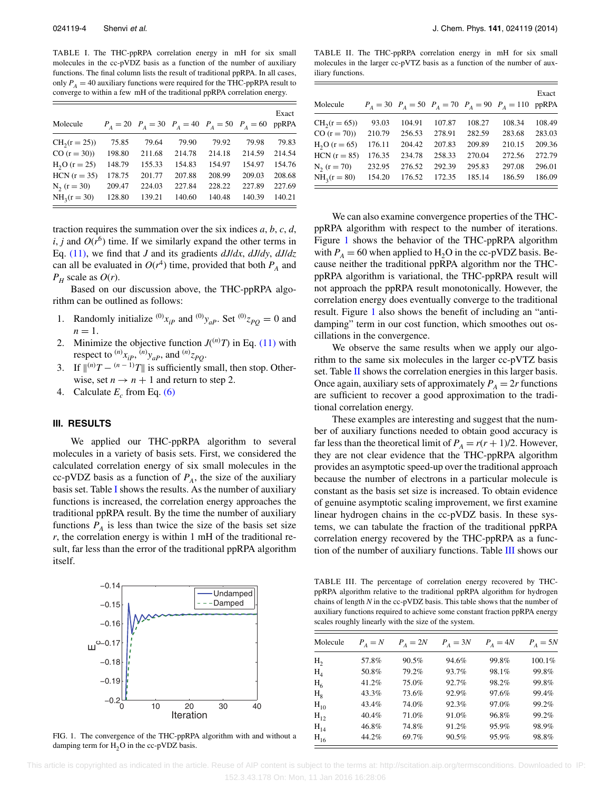<span id="page-4-1"></span>TABLE I. The THC-ppRPA correlation energy in mH for six small molecules in the cc-pVDZ basis as a function of the number of auxiliary functions. The final column lists the result of traditional ppRPA. In all cases, only  $P_A = 40$  auxiliary functions were required for the THC-ppRPA result to converge to within a few mH of the traditional ppRPA correlation energy.

| Molecule       |        |        |        | $P_A = 20$ $P_A = 30$ $P_A = 40$ $P_A = 50$ $P_A = 60$ |        | Exact<br>ppRPA |
|----------------|--------|--------|--------|--------------------------------------------------------|--------|----------------|
| $CH2(r = 25)$  | 75.85  | 79.64  | 79.90  | 79.92                                                  | 79.98  | 79.83          |
| $CO (r = 30)$  | 198.80 | 211.68 | 214.78 | 214.18                                                 | 214.59 | 214.54         |
| $H_2O(r = 25)$ | 148.79 | 155.33 | 154.83 | 154.97                                                 | 154.97 | 154.76         |
| $HCN(r = 35)$  | 178.75 | 201.77 | 207.88 | 208.99                                                 | 209.03 | 208.68         |
| $N_2(r = 30)$  | 209.47 | 224.03 | 227.84 | 228.22                                                 | 227.89 | 227.69         |
| $NH_2(r = 30)$ | 128.80 | 139.21 | 140.60 | 140.48                                                 | 140.39 | 140.21         |

traction requires the summation over the six indices *a*, *b*, *c*, *d*, *i*, *j* and  $O(r^6)$  time. If we similarly expand the other terms in Eq. [\(11\),](#page-3-4) we find that *J* and its gradients *dJ*/*dx*, *dJ*/*dy*, *dJ*/*dz* can all be evaluated in  $O(r^4)$  time, provided that both  $P_A$  and  $P_H$  scale as  $O(r)$ .

Based on our discussion above, the THC-ppRPA algorithm can be outlined as follows:

- 1. Randomly initialize  $^{(0)}x_{ip}$  and  $^{(0)}y_{ap}$ . Set  $^{(0)}z_{po}=0$  and  $n=1$ .
- 2. Minimize the objective function  $J^{(n)}T$  in Eq. [\(11\)](#page-3-4) with respect to  $^{(n)}x_{iP}$ ,  $^{(n)}y_{aP}$ , and  $^{(n)}z_{PQ}$ .
- 3. If  $\|^{(n)}T \frac{(n-1)}{T}\|$  is sufficiently small, then stop. Otherwise, set  $n \to n + 1$  and return to step 2.
- 4. Calculate  $E_c$  from Eq. [\(6\)](#page-2-2)

#### <span id="page-4-0"></span>**III. RESULTS**

We applied our THC-ppRPA algorithm to several molecules in a variety of basis sets. First, we considered the calculated correlation energy of six small molecules in the cc-pVDZ basis as a function of  $P_A$ , the size of the auxiliary basis set. Table [I](#page-4-1) shows the results. As the number of auxiliary functions is increased, the correlation energy approaches the traditional ppRPA result. By the time the number of auxiliary functions  $P_A$  is less than twice the size of the basis set size *r*, the correlation energy is within 1 mH of the traditional result, far less than the error of the traditional ppRPA algorithm itself.

<span id="page-4-2"></span>

FIG. 1. The convergence of the THC-ppRPA algorithm with and without a damping term for  $H_2O$  in the cc-pVDZ basis.

<span id="page-4-3"></span>TABLE II. The THC-ppRPA correlation energy in mH for six small molecules in the larger cc-pVTZ basis as a function of the number of auxiliary functions.

| Molecule       |        |        |        |        | $P_A = 30$ $P_A = 50$ $P_A = 70$ $P_A = 90$ $P_A = 110$ | Exact<br>ppRPA |
|----------------|--------|--------|--------|--------|---------------------------------------------------------|----------------|
| $CH2(r = 65)$  | 93.03  | 104.91 | 107.87 | 108.27 | 108.34                                                  | 108.49         |
| $CO (r = 70)$  | 210.79 | 256.53 | 278.91 | 282.59 | 283.68                                                  | 283.03         |
| $H_2O(r = 65)$ | 176.11 | 204.42 | 207.83 | 209.89 | 210.15                                                  | 209.36         |
| $HCN (r = 85)$ | 176.35 | 234.78 | 258.33 | 270.04 | 272.56                                                  | 272.79         |
| $N_2(r = 70)$  | 232.95 | 276.52 | 292.39 | 295.83 | 297.08                                                  | 296.01         |
| $NH_3(r = 80)$ | 154.20 | 176.52 | 172.35 | 185.14 | 186.59                                                  | 186.09         |

We can also examine convergence properties of the THCppRPA algorithm with respect to the number of iterations. Figure [1](#page-4-2) shows the behavior of the THC-ppRPA algorithm with  $P_A = 60$  when applied to  $H_2O$  in the cc-pVDZ basis. Because neither the traditional ppRPA algorithm nor the THCppRPA algorithm is variational, the THC-ppRPA result will not approach the ppRPA result monotonically. However, the correlation energy does eventually converge to the traditional result. Figure [1](#page-4-2) also shows the benefit of including an "antidamping" term in our cost function, which smoothes out oscillations in the convergence.

We observe the same results when we apply our algorithm to the same six molecules in the larger cc-pVTZ basis set. Table [II](#page-4-3) shows the correlation energies in this larger basis. Once again, auxiliary sets of approximately  $P_A = 2r$  functions are sufficient to recover a good approximation to the traditional correlation energy.

These examples are interesting and suggest that the number of auxiliary functions needed to obtain good accuracy is far less than the theoretical limit of  $P_A = r(r + 1)/2$ . However, they are not clear evidence that the THC-ppRPA algorithm provides an asymptotic speed-up over the traditional approach because the number of electrons in a particular molecule is constant as the basis set size is increased. To obtain evidence of genuine asymptotic scaling improvement, we first examine linear hydrogen chains in the cc-pVDZ basis. In these systems, we can tabulate the fraction of the traditional ppRPA correlation energy recovered by the THC-ppRPA as a function of the number of auxiliary functions. Table [III](#page-4-4) shows our

<span id="page-4-4"></span>TABLE III. The percentage of correlation energy recovered by THCppRPA algorithm relative to the traditional ppRPA algorithm for hydrogen chains of length *N* in the cc-pVDZ basis. This table shows that the number of auxiliary functions required to achieve some constant fraction ppRPA energy scales roughly linearly with the size of the system.

| Molecule                    | $P_A = N$ | $P_A = 2N$ | $P_A = 3N$ | $P_A = 4N$ | $P_A = 5N$ |
|-----------------------------|-----------|------------|------------|------------|------------|
| H <sub>2</sub>              | 57.8%     | 90.5%      | 94.6%      | 99.8%      | 100.1%     |
| $H_{\scriptscriptstyle{A}}$ | 50.8%     | 79.2%      | 93.7%      | 98.1%      | 99.8%      |
| $H_6$                       | 41.2%     | 75.0%      | 92.7%      | 98.2%      | 99.8%      |
| $H_{\rm e}$                 | 43.3%     | 73.6%      | 92.9%      | 97.6%      | 99.4%      |
| $H_{10}$                    | 43.4%     | 74.0%      | 92.3%      | 97.0%      | 99.2%      |
| $H_{12}$                    | 40.4%     | 71.0%      | 91.0%      | 96.8%      | 99.2%      |
| $H_{14}$                    | 46.8%     | 74.8%      | 91.2%      | 95.9%      | 98.9%      |
| $H_{16}$                    | 44.2%     | 69.7%      | 90.5%      | 95.9%      | 98.8%      |
|                             |           |            |            |            |            |

 This article is copyrighted as indicated in the article. Reuse of AIP content is subject to the terms at: http://scitation.aip.org/termsconditions. Downloaded to IP: 152.3.43.178 On: Mon, 11 Jan 2016 16:28:06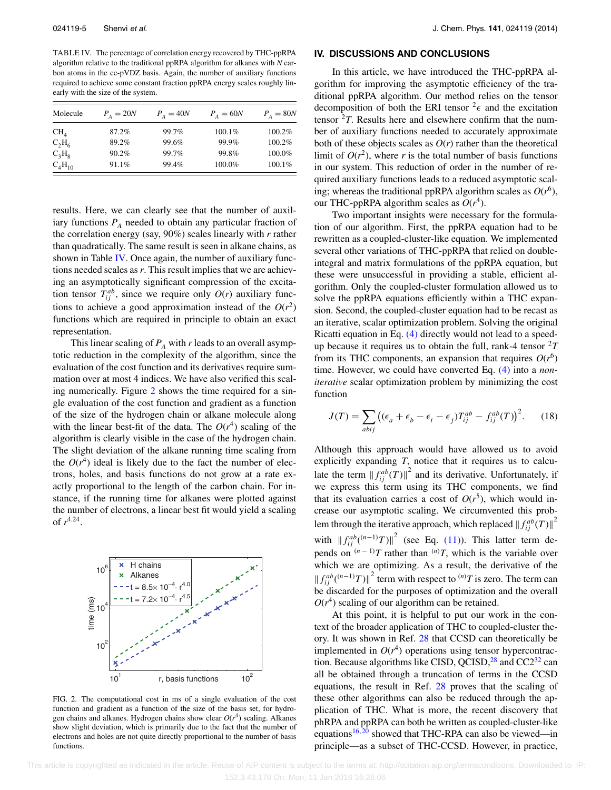<span id="page-5-1"></span>TABLE IV. The percentage of correlation energy recovered by THC-ppRPA algorithm relative to the traditional ppRPA algorithm for alkanes with *N* carbon atoms in the cc-pVDZ basis. Again, the number of auxiliary functions required to achieve some constant fraction ppRPA energy scales roughly linearly with the size of the system.

| Molecule        | $P_{A} = 20N$ | $P_{A} = 40N$ | $P_A = 60N$ | $P_A = 80N$ |
|-----------------|---------------|---------------|-------------|-------------|
| CH <sub>A</sub> | 87.2%         | 99.7%         | 100.1%      | 100.2%      |
| $C_2H_6$        | 89.2%         | 99.6%         | 99.9%       | 100.2%      |
| $C_3H_8$        | 90.2%         | 99.7%         | 99.8%       | 100.0%      |
| $C_4H_{10}$     | 91.1%         | 99.4%         | 100.0%      | 100.1%      |

results. Here, we can clearly see that the number of auxiliary functions  $P_A$  needed to obtain any particular fraction of the correlation energy (say, 90%) scales linearly with *r* rather than quadratically. The same result is seen in alkane chains, as shown in Table [IV.](#page-5-1) Once again, the number of auxiliary functions needed scales as*r*. This result implies that we are achieving an asymptotically significant compression of the excitation tensor  $T_{ij}^{ab}$ , since we require only  $O(r)$  auxiliary functions to achieve a good approximation instead of the  $O(r^2)$ functions which are required in principle to obtain an exact representation.

This linear scaling of  $P_A$  with *r* leads to an overall asymptotic reduction in the complexity of the algorithm, since the evaluation of the cost function and its derivatives require summation over at most 4 indices. We have also verified this scaling numerically. Figure [2](#page-5-2) shows the time required for a single evaluation of the cost function and gradient as a function of the size of the hydrogen chain or alkane molecule along with the linear best-fit of the data. The  $O(r^4)$  scaling of the algorithm is clearly visible in the case of the hydrogen chain. The slight deviation of the alkane running time scaling from the  $O(r^4)$  ideal is likely due to the fact the number of electrons, holes, and basis functions do not grow at a rate exactly proportional to the length of the carbon chain. For instance, if the running time for alkanes were plotted against the number of electrons, a linear best fit would yield a scaling of *r*4.24.

<span id="page-5-2"></span>

FIG. 2. The computational cost in ms of a single evaluation of the cost function and gradient as a function of the size of the basis set, for hydrogen chains and alkanes. Hydrogen chains show clear  $O(r^4)$  scaling. Alkanes show slight deviation, which is primarily due to the fact that the number of electrons and holes are not quite directly proportional to the number of basis functions.

#### <span id="page-5-0"></span>**IV. DISCUSSIONS AND CONCLUSIONS**

In this article, we have introduced the THC-ppRPA algorithm for improving the asymptotic efficiency of the traditional ppRPA algorithm. Our method relies on the tensor decomposition of both the ERI tensor  $2\epsilon$  and the excitation tensor  ${}^{2}T$ . Results here and elsewhere confirm that the number of auxiliary functions needed to accurately approximate both of these objects scales as  $O(r)$  rather than the theoretical limit of  $O(r^2)$ , where *r* is the total number of basis functions in our system. This reduction of order in the number of required auxiliary functions leads to a reduced asymptotic scaling; whereas the traditional ppRPA algorithm scales as  $O(r^6)$ , our THC-ppRPA algorithm scales as  $O(r^4)$ .

Two important insights were necessary for the formulation of our algorithm. First, the ppRPA equation had to be rewritten as a coupled-cluster-like equation. We implemented several other variations of THC-ppRPA that relied on doubleintegral and matrix formulations of the ppRPA equation, but these were unsuccessful in providing a stable, efficient algorithm. Only the coupled-cluster formulation allowed us to solve the ppRPA equations efficiently within a THC expansion. Second, the coupled-cluster equation had to be recast as an iterative, scalar optimization problem. Solving the original Ricatti equation in Eq. [\(4\)](#page-2-1) directly would not lead to a speedup because it requires us to obtain the full, rank-4 tensor  ${}^{2}T$ from its THC components, an expansion that requires  $O(r^6)$ time. However, we could have converted Eq. [\(4\)](#page-2-1) into a *noniterative* scalar optimization problem by minimizing the cost function

$$
J(T) = \sum_{abij} \left( (\epsilon_a + \epsilon_b - \epsilon_i - \epsilon_j) T_{ij}^{ab} - f_{ij}^{ab}(T) \right)^2.
$$
 (18)

Although this approach would have allowed us to avoid explicitly expanding *T*, notice that it requires us to calculate the term  $\left\| f_{ij}^{ab}(T) \right\|^2$  and its derivative. Unfortunately, if we express this term using its THC components, we find that its evaluation carries a cost of  $O(r^5)$ , which would increase our asymptotic scaling. We circumvented this problem through the iterative approach, which replaced  $\left\| \int_{ij}^{ab} (T) \right\|^2$ with  $|| f_{ij}^{ab} (n-1)T ||^2$  (see Eq. [\(11\)\)](#page-3-4). This latter term depends on  $(n-1)T$  rather than  $(n)T$ , which is the variable over which we are optimizing. As a result, the derivative of the  $|| f_{ij}^{ab}({}^{(n-1)}T) ||^2$  term with respect to  ${}^{(n)}T$  is zero. The term can be discarded for the purposes of optimization and the overall  $O(r^4)$  scaling of our algorithm can be retained.

At this point, it is helpful to put our work in the context of the broader application of THC to coupled-cluster theory. It was shown in Ref. [28](#page-7-19) that CCSD can theoretically be implemented in  $O(r^4)$  operations using tensor hypercontraction. Because algorithms like CISD, QCISD, $^{28}$  $^{28}$  $^{28}$  and CC2<sup>32</sup> can all be obtained through a truncation of terms in the CCSD equations, the result in Ref. [28](#page-7-19) proves that the scaling of these other algorithms can also be reduced through the application of THC. What is more, the recent discovery that phRPA and ppRPA can both be written as coupled-cluster-like equations<sup>[16,](#page-7-14) [20](#page-7-15)</sup> showed that THC-RPA can also be viewed—in principle—as a subset of THC-CCSD. However, in practice,

 This article is copyrighted as indicated in the article. Reuse of AIP content is subject to the terms at: http://scitation.aip.org/termsconditions. Downloaded to IP: 152.3.43.178 On: Mon, 11 Jan 2016 16:28:06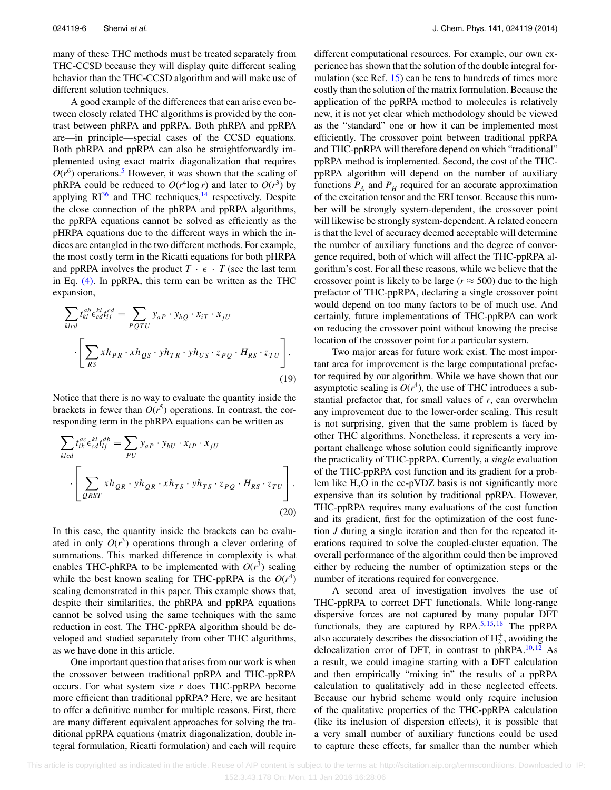many of these THC methods must be treated separately from THC-CCSD because they will display quite different scaling behavior than the THC-CCSD algorithm and will make use of different solution techniques.

A good example of the differences that can arise even between closely related THC algorithms is provided by the contrast between phRPA and ppRPA. Both phRPA and ppRPA are—in principle—special cases of the CCSD equations. Both phRPA and ppRPA can also be straightforwardly implemented using exact matrix diagonalization that requires  $O(r^6)$  operations.<sup>5</sup> However, it was shown that the scaling of phRPA could be reduced to  $O(r^4 \log r)$  and later to  $O(r^3)$  by applying  $RI^{36}$  $RI^{36}$  $RI^{36}$  and THC techniques,<sup>[14](#page-7-10)</sup> respectively. Despite the close connection of the phRPA and ppRPA algorithms, the ppRPA equations cannot be solved as efficiently as the pHRPA equations due to the different ways in which the indices are entangled in the two different methods. For example, the most costly term in the Ricatti equations for both pHRPA and ppRPA involves the product  $T \cdot \epsilon \cdot T$  (see the last term in Eq. [\(4\).](#page-2-1) In ppRPA, this term can be written as the THC expansion,

$$
\sum_{klcd} t_{kl}^{ab} \epsilon_{cd}^{kl} t_{ij}^{cd} = \sum_{PQTU} y_{aP} \cdot y_{bQ} \cdot x_{iT} \cdot x_{jU}
$$

$$
\cdot \left[ \sum_{RS} x h_{PR} \cdot x h_{QS} \cdot y h_{TR} \cdot y h_{US} \cdot z_{PQ} \cdot H_{RS} \cdot z_{TU} \right].
$$

$$
(19)
$$

Notice that there is no way to evaluate the quantity inside the brackets in fewer than  $O(r^5)$  operations. In contrast, the corresponding term in the phRPA equations can be written as

$$
\sum_{klcd} t_{ik}^{ac} \epsilon_{cd}^{kl} t_{lj}^{db} = \sum_{PU} y_{aP} \cdot y_{bU} \cdot x_{iP} \cdot x_{jU}
$$
\n
$$
\cdot \left[ \sum_{QRST} x h_{QR} \cdot y h_{QR} \cdot x h_{TS} \cdot y h_{TS} \cdot z_{PQ} \cdot H_{RS} \cdot z_{TU} \right].
$$
\n(20)

In this case, the quantity inside the brackets can be evaluated in only  $O(r^3)$  operations through a clever ordering of summations. This marked difference in complexity is what enables THC-phRPA to be implemented with  $O(r^3)$  scaling while the best known scaling for THC-ppRPA is the  $O(r^4)$ scaling demonstrated in this paper. This example shows that, despite their similarities, the phRPA and ppRPA equations cannot be solved using the same techniques with the same reduction in cost. The THC-ppRPA algorithm should be developed and studied separately from other THC algorithms, as we have done in this article.

One important question that arises from our work is when the crossover between traditional ppRPA and THC-ppRPA occurs. For what system size *r* does THC-ppRPA become more efficient than traditional ppRPA? Here, we are hesitant to offer a definitive number for multiple reasons. First, there are many different equivalent approaches for solving the traditional ppRPA equations (matrix diagonalization, double integral formulation, Ricatti formulation) and each will require different computational resources. For example, our own experience has shown that the solution of the double integral for-mulation (see Ref. [15\)](#page-7-11) can be tens to hundreds of times more costly than the solution of the matrix formulation. Because the application of the ppRPA method to molecules is relatively new, it is not yet clear which methodology should be viewed as the "standard" one or how it can be implemented most efficiently. The crossover point between traditional ppRPA and THC-ppRPA will therefore depend on which "traditional" ppRPA method is implemented. Second, the cost of the THCppRPA algorithm will depend on the number of auxiliary functions  $P_A$  and  $P_H$  required for an accurate approximation of the excitation tensor and the ERI tensor. Because this number will be strongly system-dependent, the crossover point will likewise be strongly system-dependent. A related concern is that the level of accuracy deemed acceptable will determine the number of auxiliary functions and the degree of convergence required, both of which will affect the THC-ppRPA algorithm's cost. For all these reasons, while we believe that the crossover point is likely to be large ( $r \approx 500$ ) due to the high prefactor of THC-ppRPA, declaring a single crossover point would depend on too many factors to be of much use. And certainly, future implementations of THC-ppRPA can work on reducing the crossover point without knowing the precise location of the crossover point for a particular system.

Two major areas for future work exist. The most important area for improvement is the large computational prefactor required by our algorithm. While we have shown that our asymptotic scaling is  $O(r^4)$ , the use of THC introduces a substantial prefactor that, for small values of *r*, can overwhelm any improvement due to the lower-order scaling. This result is not surprising, given that the same problem is faced by other THC algorithms. Nonetheless, it represents a very important challenge whose solution could significantly improve the practicality of THC-ppRPA. Currently, a *single* evaluation of the THC-ppRPA cost function and its gradient for a problem like  $H_2O$  in the cc-pVDZ basis is not significantly more expensive than its solution by traditional ppRPA. However, THC-ppRPA requires many evaluations of the cost function and its gradient, first for the optimization of the cost function *J* during a single iteration and then for the repeated iterations required to solve the coupled-cluster equation. The overall performance of the algorithm could then be improved either by reducing the number of optimization steps or the number of iterations required for convergence.

A second area of investigation involves the use of THC-ppRPA to correct DFT functionals. While long-range dispersive forces are not captured by many popular DFT functionals, they are captured by RPA.<sup>[5,](#page-7-8) [15,](#page-7-11) [18](#page-7-13)</sup> The ppRPA also accurately describes the dissociation of  $H_2^+$ , avoiding the delocalization error of DFT, in contrast to phRPA.<sup>10,[12](#page-7-7)</sup> As a result, we could imagine starting with a DFT calculation and then empirically "mixing in" the results of a ppRPA calculation to qualitatively add in these neglected effects. Because our hybrid scheme would only require inclusion of the qualitative properties of the THC-ppRPA calculation (like its inclusion of dispersion effects), it is possible that a very small number of auxiliary functions could be used to capture these effects, far smaller than the number which